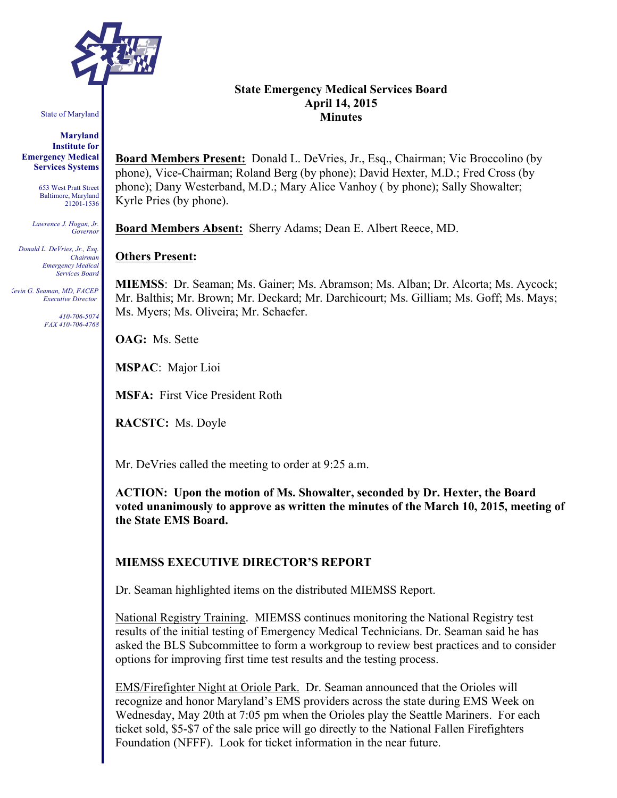

State of Maryland

#### **Maryland Institute for Emergency Medical Services Systems**

653 West Pratt Street Baltimore, Maryland 21201-1536

*Lawrence J. Hogan, Jr. Governor*

*Donald L. DeVries, Jr., Esq. Chairman Emergency Medical Services Board*

*Kevin G. Seaman, MD, FACEP Executive Director*

> *410-706-5074 FAX 410-706-4768*

### **State Emergency Medical Services Board April 14, 2015 Minutes**

**Board Members Present:** Donald L. DeVries, Jr., Esq., Chairman; Vic Broccolino (by phone), Vice-Chairman; Roland Berg (by phone); David Hexter, M.D.; Fred Cross (by phone); Dany Westerband, M.D.; Mary Alice Vanhoy ( by phone); Sally Showalter; Kyrle Pries (by phone).

**Board Members Absent:** Sherry Adams; Dean E. Albert Reece, MD.

# **Others Present:**

**MIEMSS**: Dr. Seaman; Ms. Gainer; Ms. Abramson; Ms. Alban; Dr. Alcorta; Ms. Aycock; Mr. Balthis; Mr. Brown; Mr. Deckard; Mr. Darchicourt; Ms. Gilliam; Ms. Goff; Ms. Mays; Ms. Myers; Ms. Oliveira; Mr. Schaefer.

**OAG:** Ms. Sette

**MSPAC**: Major Lioi

**MSFA:** First Vice President Roth

**RACSTC:** Ms. Doyle

Mr. DeVries called the meeting to order at 9:25 a.m.

**ACTION: Upon the motion of Ms. Showalter, seconded by Dr. Hexter, the Board voted unanimously to approve as written the minutes of the March 10, 2015, meeting of the State EMS Board.**

# **MIEMSS EXECUTIVE DIRECTOR'S REPORT**

Dr. Seaman highlighted items on the distributed MIEMSS Report.

National Registry Training. MIEMSS continues monitoring the National Registry test results of the initial testing of Emergency Medical Technicians. Dr. Seaman said he has asked the BLS Subcommittee to form a workgroup to review best practices and to consider options for improving first time test results and the testing process.

EMS/Firefighter Night at Oriole Park. Dr. Seaman announced that the Orioles will recognize and honor Maryland's EMS providers across the state during EMS Week on Wednesday, May 20th at 7:05 pm when the Orioles play the Seattle Mariners. For each ticket sold, \$5-\$7 of the sale price will go directly to the National Fallen Firefighters Foundation (NFFF). Look for ticket information in the near future.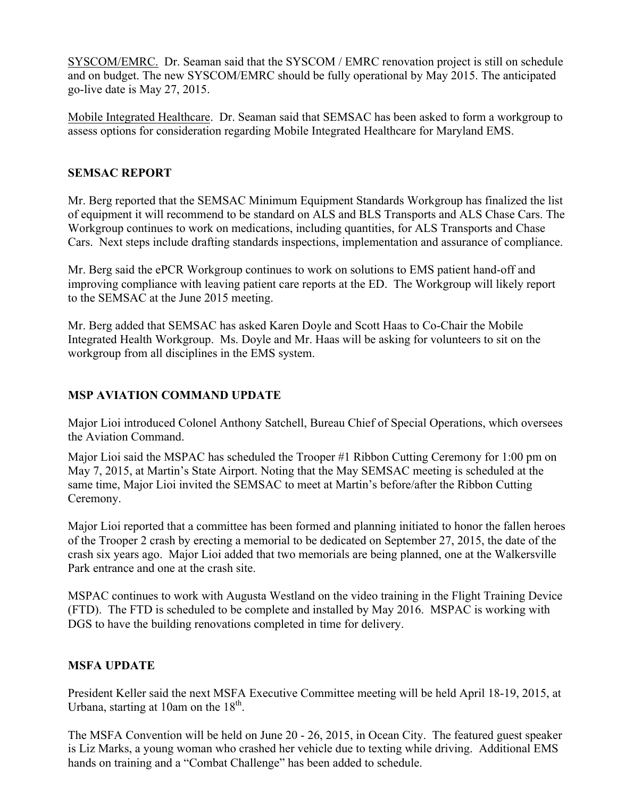SYSCOM/EMRC. Dr. Seaman said that the SYSCOM / EMRC renovation project is still on schedule and on budget. The new SYSCOM/EMRC should be fully operational by May 2015. The anticipated go-live date is May 27, 2015.

Mobile Integrated Healthcare. Dr. Seaman said that SEMSAC has been asked to form a workgroup to assess options for consideration regarding Mobile Integrated Healthcare for Maryland EMS.

## **SEMSAC REPORT**

Mr. Berg reported that the SEMSAC Minimum Equipment Standards Workgroup has finalized the list of equipment it will recommend to be standard on ALS and BLS Transports and ALS Chase Cars. The Workgroup continues to work on medications, including quantities, for ALS Transports and Chase Cars. Next steps include drafting standards inspections, implementation and assurance of compliance.

Mr. Berg said the ePCR Workgroup continues to work on solutions to EMS patient hand-off and improving compliance with leaving patient care reports at the ED. The Workgroup will likely report to the SEMSAC at the June 2015 meeting.

Mr. Berg added that SEMSAC has asked Karen Doyle and Scott Haas to Co-Chair the Mobile Integrated Health Workgroup. Ms. Doyle and Mr. Haas will be asking for volunteers to sit on the workgroup from all disciplines in the EMS system.

# **MSP AVIATION COMMAND UPDATE**

Major Lioi introduced Colonel Anthony Satchell, Bureau Chief of Special Operations, which oversees the Aviation Command.

Major Lioi said the MSPAC has scheduled the Trooper #1 Ribbon Cutting Ceremony for 1:00 pm on May 7, 2015, at Martin's State Airport. Noting that the May SEMSAC meeting is scheduled at the same time, Major Lioi invited the SEMSAC to meet at Martin's before/after the Ribbon Cutting Ceremony.

Major Lioi reported that a committee has been formed and planning initiated to honor the fallen heroes of the Trooper 2 crash by erecting a memorial to be dedicated on September 27, 2015, the date of the crash six years ago. Major Lioi added that two memorials are being planned, one at the Walkersville Park entrance and one at the crash site.

MSPAC continues to work with Augusta Westland on the video training in the Flight Training Device (FTD). The FTD is scheduled to be complete and installed by May 2016. MSPAC is working with DGS to have the building renovations completed in time for delivery.

# **MSFA UPDATE**

President Keller said the next MSFA Executive Committee meeting will be held April 18-19, 2015, at Urbana, starting at 10am on the  $18<sup>th</sup>$ .

The MSFA Convention will be held on June 20 - 26, 2015, in Ocean City. The featured guest speaker is Liz Marks, a young woman who crashed her vehicle due to texting while driving. Additional EMS hands on training and a "Combat Challenge" has been added to schedule.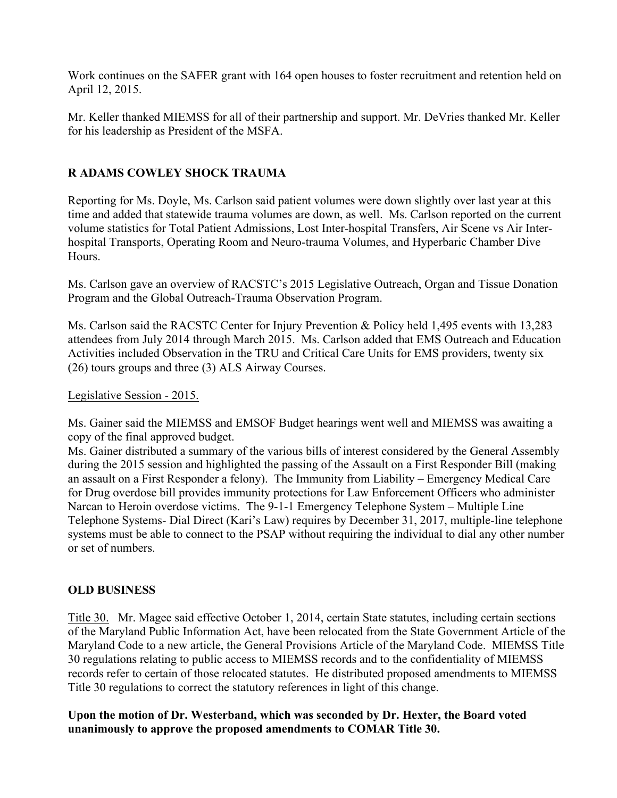Work continues on the SAFER grant with 164 open houses to foster recruitment and retention held on April 12, 2015.

Mr. Keller thanked MIEMSS for all of their partnership and support. Mr. DeVries thanked Mr. Keller for his leadership as President of the MSFA.

# **R ADAMS COWLEY SHOCK TRAUMA**

Reporting for Ms. Doyle, Ms. Carlson said patient volumes were down slightly over last year at this time and added that statewide trauma volumes are down, as well. Ms. Carlson reported on the current volume statistics for Total Patient Admissions, Lost Inter-hospital Transfers, Air Scene vs Air Interhospital Transports, Operating Room and Neuro-trauma Volumes, and Hyperbaric Chamber Dive **Hours** 

Ms. Carlson gave an overview of RACSTC's 2015 Legislative Outreach, Organ and Tissue Donation Program and the Global Outreach-Trauma Observation Program.

Ms. Carlson said the RACSTC Center for Injury Prevention & Policy held 1,495 events with 13,283 attendees from July 2014 through March 2015. Ms. Carlson added that EMS Outreach and Education Activities included Observation in the TRU and Critical Care Units for EMS providers, twenty six (26) tours groups and three (3) ALS Airway Courses.

Legislative Session - 2015.

Ms. Gainer said the MIEMSS and EMSOF Budget hearings went well and MIEMSS was awaiting a copy of the final approved budget.

Ms. Gainer distributed a summary of the various bills of interest considered by the General Assembly during the 2015 session and highlighted the passing of the Assault on a First Responder Bill (making an assault on a First Responder a felony). The Immunity from Liability – Emergency Medical Care for Drug overdose bill provides immunity protections for Law Enforcement Officers who administer Narcan to Heroin overdose victims. The 9-1-1 Emergency Telephone System – Multiple Line Telephone Systems- Dial Direct (Kari's Law) requires by December 31, 2017, multiple-line telephone systems must be able to connect to the PSAP without requiring the individual to dial any other number or set of numbers.

# **OLD BUSINESS**

Title 30. Mr. Magee said effective October 1, 2014, certain State statutes, including certain sections of the Maryland Public Information Act, have been relocated from the State Government Article of the Maryland Code to a new article, the General Provisions Article of the Maryland Code. MIEMSS Title 30 regulations relating to public access to MIEMSS records and to the confidentiality of MIEMSS records refer to certain of those relocated statutes. He distributed proposed amendments to MIEMSS Title 30 regulations to correct the statutory references in light of this change.

**Upon the motion of Dr. Westerband, which was seconded by Dr. Hexter, the Board voted unanimously to approve the proposed amendments to COMAR Title 30.**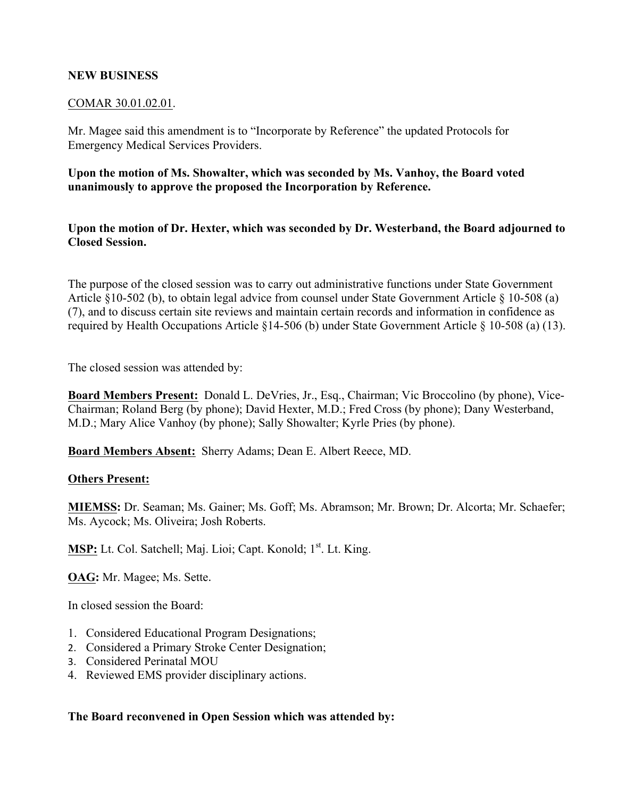# **NEW BUSINESS**

## COMAR 30.01.02.01.

Mr. Magee said this amendment is to "Incorporate by Reference" the updated Protocols for Emergency Medical Services Providers.

**Upon the motion of Ms. Showalter, which was seconded by Ms. Vanhoy, the Board voted unanimously to approve the proposed the Incorporation by Reference.** 

**Upon the motion of Dr. Hexter, which was seconded by Dr. Westerband, the Board adjourned to Closed Session.** 

The purpose of the closed session was to carry out administrative functions under State Government Article §10-502 (b), to obtain legal advice from counsel under State Government Article § 10-508 (a) (7), and to discuss certain site reviews and maintain certain records and information in confidence as required by Health Occupations Article §14-506 (b) under State Government Article § 10-508 (a) (13).

The closed session was attended by:

**Board Members Present:** Donald L. DeVries, Jr., Esq., Chairman; Vic Broccolino (by phone), Vice-Chairman; Roland Berg (by phone); David Hexter, M.D.; Fred Cross (by phone); Dany Westerband, M.D.; Mary Alice Vanhoy (by phone); Sally Showalter; Kyrle Pries (by phone).

**Board Members Absent:** Sherry Adams; Dean E. Albert Reece, MD.

## **Others Present:**

**MIEMSS:** Dr. Seaman; Ms. Gainer; Ms. Goff; Ms. Abramson; Mr. Brown; Dr. Alcorta; Mr. Schaefer; Ms. Aycock; Ms. Oliveira; Josh Roberts.

**MSP:** Lt. Col. Satchell; Maj. Lioi; Capt. Konold; 1st. Lt. King.

**OAG:** Mr. Magee; Ms. Sette.

In closed session the Board:

- 1. Considered Educational Program Designations;
- 2. Considered a Primary Stroke Center Designation;
- 3. Considered Perinatal MOU
- 4. Reviewed EMS provider disciplinary actions.

# **The Board reconvened in Open Session which was attended by:**